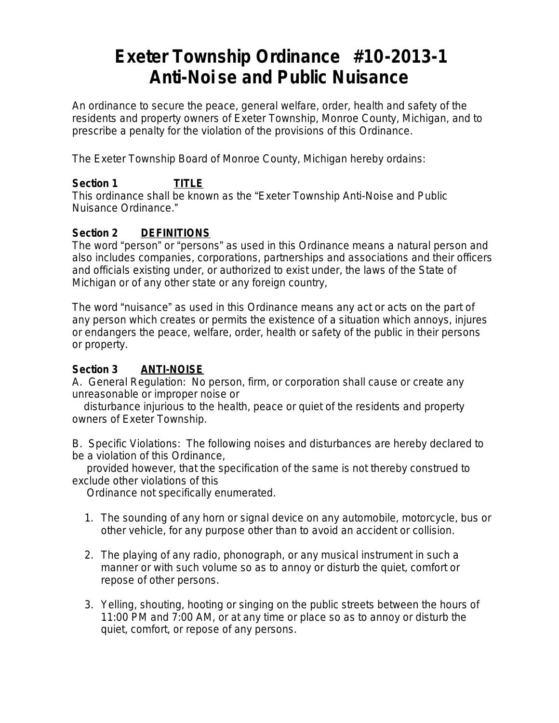# **Exeter Township Ordinance #10-2013-1 Anti-Noi se and Public Nuisance**

An ordinance to secure the peace, general welfare, order, health and safety of the residents and property owners of Exeter Township, Monroe County, Michigan, and to prescribe a penalty for the violation of the provisions of this Ordinance.

The Exeter Township Board of Monroe County, Michigan hereby ordains:

# **Section 1 TITLE**

This ordinance shall be known as the "Exeter Township Anti-Noise and Public Nuisance Ordinance."

### **Section 2 DEFINITIONS**

The word "person" or "persons" as used in this Ordinance means a natural person and also includes companies, corporations, partnerships and associations and their officers and officials existing under, or authorized to exist under, the laws of the State of Michigan or of any other state or any foreign country,

The word "nuisance" as used in this Ordinance means any act or acts on the part of any person which creates or permits the existence of a situation which annoys, injures or endangers the peace, welfare, order, health or safety of the public in their persons or property.

### **Section 3 ANTI-NOISE**

A. General Regulation: No person, firm, or corporation shall cause or create any unreasonable or improper noise or

 disturbance injurious to the health, peace or quiet of the residents and property owners of Exeter Township.

B. Specific Violations: The following noises and disturbances are hereby declared to be a violation of this Ordinance,

 provided however, that the specification of the same is not thereby construed to exclude other violations of this

Ordinance not specifically enumerated.

- 1. The sounding of any horn or signal device on any automobile, motorcycle, bus or other vehicle, for any purpose other than to avoid an accident or collision.
- 2. The playing of any radio, phonograph, or any musical instrument in such a manner or with such volume so as to annoy or disturb the quiet, comfort or repose of other persons.
- 3. Yelling, shouting, hooting or singing on the public streets between the hours of 11:00 PM and 7:00 AM, or at any time or place so as to annoy or disturb the quiet, comfort, or repose of any persons.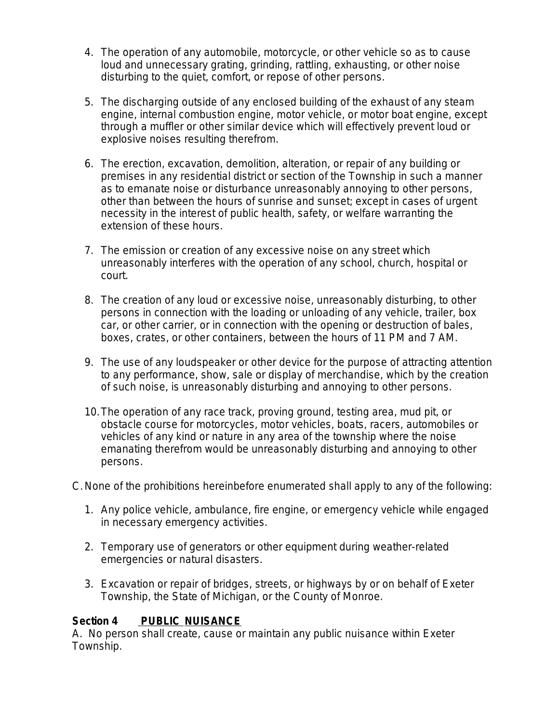- 4. The operation of any automobile, motorcycle, or other vehicle so as to cause loud and unnecessary grating, grinding, rattling, exhausting, or other noise disturbing to the quiet, comfort, or repose of other persons.
- 5. The discharging outside of any enclosed building of the exhaust of any steam engine, internal combustion engine, motor vehicle, or motor boat engine, except through a muffler or other similar device which will effectively prevent loud or explosive noises resulting therefrom.
- 6. The erection, excavation, demolition, alteration, or repair of any building or premises in any residential district or section of the Township in such a manner as to emanate noise or disturbance unreasonably annoying to other persons, other than between the hours of sunrise and sunset; except in cases of urgent necessity in the interest of public health, safety, or welfare warranting the extension of these hours.
- 7. The emission or creation of any excessive noise on any street which unreasonably interferes with the operation of any school, church, hospital or court.
- 8. The creation of any loud or excessive noise, unreasonably disturbing, to other persons in connection with the loading or unloading of any vehicle, trailer, box car, or other carrier, or in connection with the opening or destruction of bales, boxes, crates, or other containers, between the hours of 11 PM and 7 AM.
- 9. The use of any loudspeaker or other device for the purpose of attracting attention to any performance, show, sale or display of merchandise, which by the creation of such noise, is unreasonably disturbing and annoying to other persons.
- 10.The operation of any race track, proving ground, testing area, mud pit, or obstacle course for motorcycles, motor vehicles, boats, racers, automobiles or vehicles of any kind or nature in any area of the township where the noise emanating therefrom would be unreasonably disturbing and annoying to other persons.
- C.None of the prohibitions hereinbefore enumerated shall apply to any of the following:
	- 1. Any police vehicle, ambulance, fire engine, or emergency vehicle while engaged in necessary emergency activities.
	- 2. Temporary use of generators or other equipment during weather-related emergencies or natural disasters.
	- 3. Excavation or repair of bridges, streets, or highways by or on behalf of Exeter Township, the State of Michigan, or the County of Monroe.

#### **Section 4 PUBLIC NUISANCE**

A. No person shall create, cause or maintain any public nuisance within Exeter Township.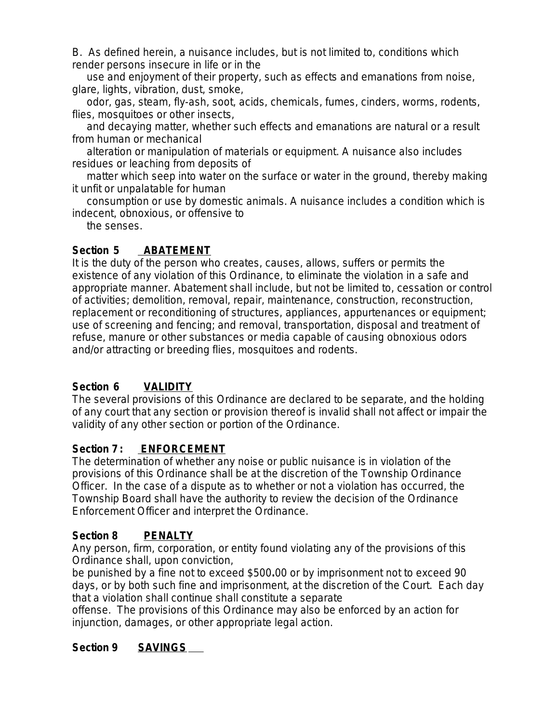B. As defined herein, a nuisance includes, but is not limited to, conditions which render persons insecure in life or in the

 use and enjoyment of their property, such as effects and emanations from noise, glare, lights, vibration, dust, smoke,

 odor, gas, steam, fly-ash, soot, acids, chemicals, fumes, cinders, worms, rodents, flies, mosquitoes or other insects,

 and decaying matter, whether such effects and emanations are natural or a result from human or mechanical

 alteration or manipulation of materials or equipment. A nuisance also includes residues or leaching from deposits of

 matter which seep into water on the surface or water in the ground, thereby making it unfit or unpalatable for human

 consumption or use by domestic animals. A nuisance includes a condition which is indecent, obnoxious, or offensive to

the senses.

# Section 5 **ABATEMENT**

It is the duty of the person who creates, causes, allows, suffers or permits the existence of any violation of this Ordinance, to eliminate the violation in a safe and appropriate manner. Abatement shall include, but not be limited to, cessation or control of activities; demolition, removal, repair, maintenance, construction, reconstruction, replacement or reconditioning of structures, appliances, appurtenances or equipment; use of screening and fencing; and removal, transportation, disposal and treatment of refuse, manure or other substances or media capable of causing obnoxious odors and/or attracting or breeding flies, mosquitoes and rodents.

### **Section 6 VALIDITY**

The several provisions of this Ordinance are declared to be separate, and the holding of any court that any section or provision thereof is invalid shall not affect or impair the validity of any other section or portion of the Ordinance.

### **Section 7 : ENFORCEMENT**

The determination of whether any noise or public nuisance is in violation of the provisions of this Ordinance shall be at the discretion of the Township Ordinance Officer. In the case of a dispute as to whether or not a violation has occurred, the Township Board shall have the authority to review the decision of the Ordinance Enforcement Officer and interpret the Ordinance.

### **Section 8 PENALTY**

Any person, firm, corporation, or entity found violating any of the provisions of this Ordinance shall, upon conviction,

be punished by a fine not to exceed \$500**.**00 or by imprisonment not to exceed 90 days, or by both such fine and imprisonment, at the discretion of the Court. Each day that a violation shall continue shall constitute a separate

offense. The provisions of this Ordinance may also be enforced by an action for injunction, damages, or other appropriate legal action.

### **Section 9 SAVINGS**